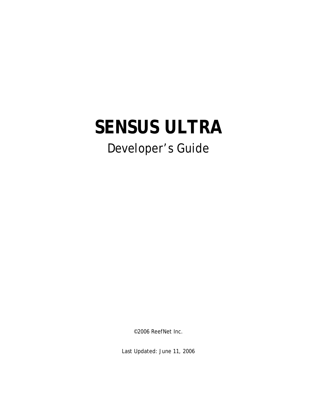# **SENSUS ULTRA**

## Developer's Guide

©2006 ReefNet Inc.

Last Updated: June 11, 2006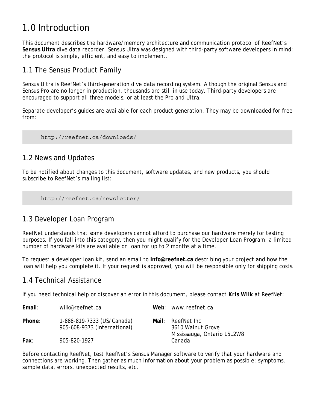## 1.0 Introduction

This document describes the hardware/memory architecture and communication protocol of ReefNet's **Sensus Ultra** dive data recorder. Sensus Ultra was designed with third-party software developers in mind: the protocol is simple, efficient, and easy to implement.

#### 1.1 The Sensus Product Family

Sensus Ultra is ReefNet's third-generation dive data recording system. Although the original Sensus and Sensus Pro are no longer in production, thousands are still in use today. Third-party developers are encouraged to support all three models, or at least the Pro and Ultra.

Separate developer's guides are available for each product generation. They may be downloaded for free from:

http://reefnet.ca/downloads/

#### 1.2 News and Updates

To be notified about changes to this document, software updates, and new products, you should subscribe to ReefNet's mailing list:

http://reefnet.ca/newsletter/

#### 1.3 Developer Loan Program

ReefNet understands that some developers cannot afford to purchase our hardware merely for testing purposes. If you fall into this category, then you might qualify for the *Developer Loan Program*: a limited number of hardware kits are available on loan for up to 2 months at a time.

To request a developer loan kit, send an email to **info@reefnet.ca** describing your project and how the loan will help you complete it. If your request is approved, you will be responsible only for shipping costs.

#### 1.4 Technical Assistance

If you need technical help or discover an error in this document, please contact *Kris Wilk* at ReefNet:

| Email: | wilk@reefnet.ca                                            | Web: www.reefnet.ca                                                    |
|--------|------------------------------------------------------------|------------------------------------------------------------------------|
| Phone: | 1-888-819-7333 (US/Canada)<br>905-608-9373 (International) | Mail: ReefNet Inc.<br>3610 Walnut Grove<br>Mississauga, Ontario L5L2W8 |
| Fax:   | 905-820-1927                                               | Canada                                                                 |

Before contacting ReefNet, test ReefNet's *Sensus Manager* software to verify that your hardware and connections are working. Then gather as much information about your problem as possible: symptoms, sample data, errors, unexpected results, etc.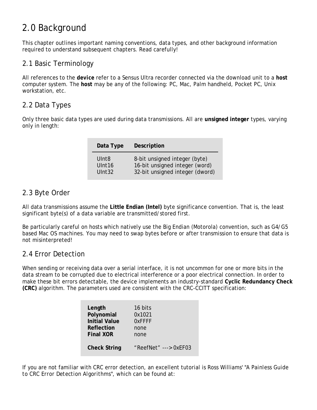## 2.0 Background

This chapter outlines important naming conventions, data types, and other background information required to understand subsequent chapters. Read carefully!

#### 2.1 Basic Terminology

All references to the *device* refer to a Sensus Ultra recorder connected via the download unit to a *host* computer system. The *host* may be any of the following: PC, Mac, Palm handheld, Pocket PC, Unix workstation, etc.

#### 2.2 Data Types

Only three basic data types are used during data transmissions. All are **unsigned integer** types, varying only in length:

| Data Type          | Description                     |
|--------------------|---------------------------------|
| Ulnt <sub>8</sub>  | 8-bit unsigned integer (byte)   |
| UInt <sub>16</sub> | 16-bit unsigned integer (word)  |
| UInt32             | 32-bit unsigned integer (dword) |

#### 2.3 Byte Order

All data transmissions assume the **Little Endian (Intel)** byte significance convention. That is, the least significant byte(s) of a data variable are transmitted/stored first.

Be particularly careful on hosts which natively use the Big Endian (Motorola) convention, such as G4/G5 based Mac OS machines. You may need to swap bytes before or after transmission to ensure that data is not misinterpreted!

#### 2.4 Error Detection

When sending or receiving data over a serial interface, it is not uncommon for one or more bits in the data stream to be corrupted due to electrical interference or a poor electrical connection. In order to make these bit errors detectable, the device implements an industry-standard **Cyclic Redundancy Check (CRC)** algorithm. The parameters used are consistent with the CRC-CCITT specification:

| Length               | 16 bits               |
|----------------------|-----------------------|
| Polynomial           | 0x1021                |
| <b>Initial Value</b> | <b>O</b> xFFFF        |
| Reflection           | none                  |
| <b>Final XOR</b>     | none                  |
| <b>Check String</b>  | "ReefNet" ---> 0xEF03 |

If you are not familiar with CRC error detection, an excellent tutorial is Ross Williams' "*A Painless Guide to CRC Error Detection Algorithms*", which can be found at: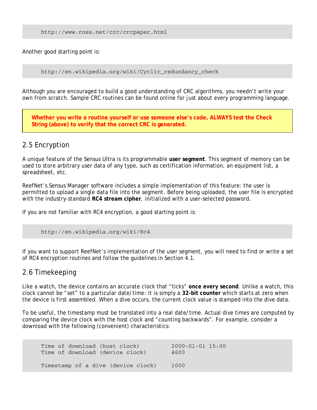```
http://www.ross.net/crc/crcpaper.html
```
Another good starting point is:

http://en.wikipedia.org/wiki/Cyclic\_redundancy\_check

Although you are encouraged to build a good understanding of CRC algorithms, you needn't write your own from scratch. Sample CRC routines can be found online for just about every programming language.

**Whether you write a routine yourself or use someone else's code, ALWAYS test the Check String (above) to verify that the correct CRC is generated.** 

#### 2.5 Encryption

A unique feature of the Sensus Ultra is its programmable **user segment**. This segment of memory can be used to store arbitrary user data of any type, such as certification information, an equipment list, a spreadsheet, etc.

ReefNet's *Sensus Manager* software includes a simple implementation of this feature: the user is permitted to upload a single data file into the segment. Before being uploaded, the user file is encrypted with the industry-standard **RC4 stream cipher**, initialized with a user-selected password.

If you are not familiar with RC4 encryption, a good starting point is:

```
http://en.wikipedia.org/wiki/Rc4
```
If you want to support ReefNet's implementation of the user segment, you will need to find or write a set of RC4 encryption routines and follow the guidelines in Section 4.1.

#### 2.6 Timekeeping

Like a watch, the device contains an accurate clock that "ticks" **once every second**. Unlike a watch, this clock cannot be "set" to a particular date/time: it is simply a **32-bit counter** which starts at zero when the device is first assembled. When a dive occurs, the current clock value is stamped into the dive data.

To be useful, the timestamp must be translated into a real date/time. Actual dive times are computed by comparing the device clock with the host clock and "counting backwards". For example, consider a download with the following (convenient) characteristics:

Time of download (host clock) 2000-01-01 15:00 Time of download (device clock) 4600 Timestamp of a dive (device clock) 1000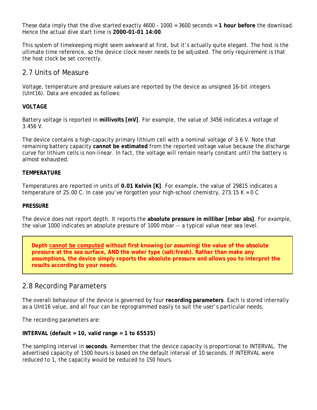These data imply that the dive started exactly 4600 - 1000 = 3600 seconds = **1 hour before** the download. Hence the actual dive start time is **2000-01-01 14:00**.

This system of timekeeping might seem awkward at first, but it's actually quite elegant. The host is the ultimate time reference, so the device clock never needs to be adjusted. The only requirement is that the host clock be set correctly.

#### 2.7 Units of Measure

Voltage, temperature and pressure values are reported by the device as unsigned 16-bit integers (UInt16). Data are encoded as follows:

#### **VOLTAGE**

Battery voltage is reported in **millivolts [mV]**. For example, the value of 3456 indicates a voltage of 3.456 V.

The device contains a high-capacity primary lithium cell with a nominal voltage of 3.6 V. Note that remaining battery capacity **cannot be estimated** from the reported voltage value because the discharge curve for lithium cells is non-linear. In fact, the voltage will remain nearly constant until the battery is almost exhausted.

#### **TEMPERATURE**

Temperatures are reported in units of **0.01 Kelvin [K]**. For example, the value of 29815 indicates a temperature of 25.00 C. In case you've forgotten your high-school chemistry, 273.15 K = 0 C

#### **PRESSURE**

The device does not report depth. It reports the **absolute pressure in millibar [mbar abs]**. For example, the value 1000 indicates an absolute pressure of 1000 mbar -- a typical value near sea level.

**Depth cannot be computed without first knowing (or assuming) the value of the absolute pressure at the sea surface, AND the water type (salt/fresh). Rather than make any assumptions, the device simply reports the absolute pressure and allows you to interpret the results according to your needs.** 

#### 2.8 Recording Parameters

The overall behaviour of the device is governed by four **recording parameters**. Each is stored internally as a UInt16 value, and all four can be reprogrammed easily to suit the user's particular needs.

The recording parameters are:

#### **INTERVAL (default = 10, valid range = 1 to 65535)**

The sampling interval in **seconds**. Remember that the device capacity is proportional to INTERVAL. The advertised capacity of 1500 hours is based on the default interval of 10 seconds. If INTERVAL were reduced to 1, the capacity would be reduced to 150 hours.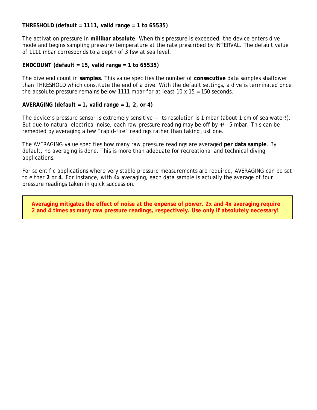#### **THRESHOLD (default = 1111, valid range = 1 to 65535)**

The activation pressure in **millibar absolute**. When this pressure is exceeded, the device enters dive mode and begins sampling pressure/temperature at the rate prescribed by INTERVAL. The default value of 1111 mbar corresponds to a depth of 3 fsw at sea level.

#### **ENDCOUNT (default = 15, valid range = 1 to 65535)**

The dive end count in **samples**. This value specifies the number of **consecutive** data samples *shallower than THRESHOLD* which constitute the end of a dive. With the default settings, a dive is terminated once the absolute pressure remains below 1111 mbar for at least  $10 \times 15 = 150$  seconds.

#### **AVERAGING (default = 1, valid range = 1, 2, or 4)**

The device's pressure sensor is extremely sensitive -- its resolution is 1 mbar (about 1 cm of sea water!). But due to natural electrical noise, each raw pressure reading may be off by +/- 5 mbar. This can be remedied by averaging a few "rapid-fire" readings rather than taking just one.

The AVERAGING value specifies how many raw pressure readings are averaged **per data sample**. By default, no averaging is done. This is more than adequate for recreational and technical diving applications.

For scientific applications where very stable pressure measurements are required, AVERAGING can be set to either **2** or **4**. For instance, with 4x averaging, each data sample is actually the average of four pressure readings taken in quick succession.

**Averaging mitigates the effect of noise at the expense of power. 2x and 4x averaging require 2 and 4 times as many raw pressure readings, respectively. Use only if absolutely necessary!**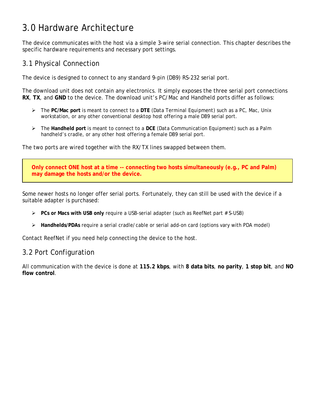## 3.0 Hardware Architecture

The device communicates with the host via a simple 3-wire serial connection. This chapter describes the specific hardware requirements and necessary port settings.

#### 3.1 Physical Connection

The device is designed to connect to any standard 9-pin (DB9) RS-232 serial port.

The download unit does not contain any electronics. It simply exposes the three serial port connections **RX**, **TX**, and **GND** to the device. The download unit's PC/Mac and Handheld ports differ as follows:

- ¾ The **PC/Mac port** is meant to connect to a **DTE** (*Data Terminal Equipment*) such as a PC, Mac, Unix workstation, or any other conventional desktop host offering a male DB9 serial port.
- ¾ The **Handheld port** is meant to connect to a **DCE** (*Data Communication Equipment*) such as a Palm handheld's cradle, or any other host offering a female DB9 serial port.

The two ports are wired together with the RX/TX lines swapped between them.

**Only connect ONE host at a time -- connecting two hosts simultaneously (e.g., PC and Palm) may damage the hosts and/or the device.** 

Some newer hosts no longer offer serial ports. Fortunately, they can still be used with the device if a suitable adapter is purchased:

- ¾ **PCs or Macs with USB only** require a USB-serial adapter (such as ReefNet part # S-USB)
- ¾ **Handhelds/PDAs** require a serial cradle/cable or serial add-on card (options vary with PDA model)

Contact ReefNet if you need help connecting the device to the host.

#### 3.2 Port Configuration

All communication with the device is done at **115.2 kbps**, with **8 data bits**, **no parity**, **1 stop bit**, and **NO flow control**.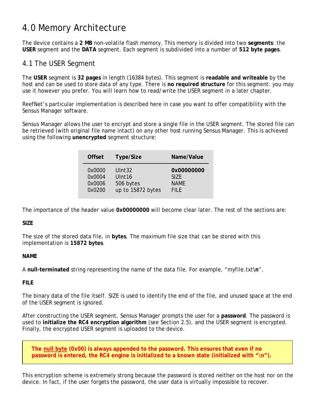## 4.0 Memory Architecture

The device contains a **2 MB** non-volatile flash memory. This memory is divided into two **segments**: the **USER** segment and the **DATA** segment. Each segment is subdivided into a number of **512 byte pages**.

#### 4.1 The USER Segment

The **USER** segment is **32 pages** in length (16384 bytes). This segment is **readable and writeable** by the host and can be used to store data of any type. There is **no required structure** for this segment: you may use it however you prefer. You will learn how to read/write the USER segment in a later chapter.

ReefNet's particular implementation is described here in case you want to offer compatibility with the *Sensus Manager* software.

*Sensus Manager* allows the user to encrypt and store a single file in the USER segment. The stored file can be retrieved (with original file name intact) on any other host running *Sensus Manager*. This is achieved using the following **unencrypted** segment structure:

| <b>Offset</b> | Type/Size          | Name/Value  |
|---------------|--------------------|-------------|
| 0x0000        | UInt <sub>32</sub> | 0x00000000  |
| 0x0004        | UInt <sub>16</sub> | SIZE.       |
| 0x0006        | 506 bytes          | <b>NAME</b> |
| 0x0200        | up to 15872 bytes  | FII F       |

The importance of the header value **0x00000000** will become clear later. The rest of the sections are:

#### **SIZE**

The size of the stored data file, in **bytes**. The maximum file size that can be stored with this implementation is **15872 bytes**.

#### **NAME**

A **null-terminated** string representing the name of the data file. For example, "myfile.txt**\n**".

#### **FILE**

The binary data of the file itself. SIZE is used to identify the end of the file, and unused space at the end of the USER segment is ignored.

After constructing the USER segment, *Sensus Manager* prompts the user for a **password**. The password is used to **initialize the RC4 encryption algorithm** (see Section 2.5), and the USER segment is encrypted. Finally, the encrypted USER segment is uploaded to the device.

**The null byte (0x00) is always appended to the password. This ensures that even if no**  password is entered, the RC4 engine is initialized to a known state (initialized with "\n").

This encryption scheme is extremely strong because the password is stored neither on the host nor on the device. In fact, if the user forgets the password, the user data is virtually impossible to recover.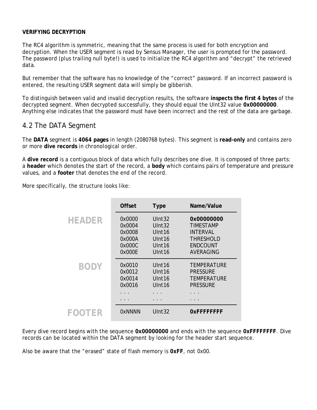#### **VERIFYING DECRYPTION**

The RC4 algorithm is symmetric, meaning that the same process is used for both encryption and decryption. When the USER segment is read by *Sensus Manager*, the user is prompted for the password. The password (plus trailing null byte!) is used to initialize the RC4 algorithm and "decrypt" the retrieved data.

But remember that the software has no knowledge of the "correct" password. If an incorrect password is entered, the resulting USER segment data will simply be gibberish.

To distinguish between valid and invalid decryption results, the software **inspects the first 4 bytes** of the decrypted segment. When decrypted successfully, they should equal the UInt32 value **0x00000000**. Anything else indicates that the password must have been incorrect and the rest of the data are garbage.

#### 4.2 The DATA Segment

The **DATA** segment is **4064 pages** in length (2080768 bytes). This segment is **read-only** and contains zero or more **dive records** in *chronological order*.

A **dive record** is a contiguous block of data which fully describes one dive. It is composed of three parts: a **header** which denotes the start of the record, a **body** which contains pairs of temperature and pressure values, and a **footer** that denotes the end of the record.

More specifically, the structure looks like:

|               | <b>Offset</b>                                            | <b>Type</b>                                                                                              | Name/Value                                                                              |
|---------------|----------------------------------------------------------|----------------------------------------------------------------------------------------------------------|-----------------------------------------------------------------------------------------|
| <b>HEADER</b> | 0x0000<br>0x0004<br>0x0008<br>0x000A<br>0x000C<br>0x000E | UInt32<br>UInt32<br>Ulnt <sub>16</sub><br>Ulnt <sub>16</sub><br>Ulnt <sub>16</sub><br>Ulnt <sub>16</sub> | 0x00000000<br><b>TIMESTAMP</b><br><b>INTFRVAL</b><br>THRESHOLD<br>ENDCOUNT<br>AVERAGING |
| <b>BODY</b>   | 0x0010<br>0x0012<br>0x0014<br>0x0016                     | Ulnt <sub>16</sub><br>Ulnt <sub>16</sub><br>Ulnt <sub>16</sub><br>Ulnt <sub>16</sub>                     | TEMPERATURE<br><b>PRESSURE</b><br><b>TFMPFRATURF</b><br><b>PRESSURE</b><br>.            |
| FOOTER        | Ox NNNN                                                  | UInt <sub>32</sub>                                                                                       | OXFFFFFFFF                                                                              |

Every dive record begins with the sequence **0x00000000** and ends with the sequence **0xFFFFFFFF**. Dive records can be located within the DATA segment by looking for the header start sequence.

Also be aware that the "erased" state of flash memory is **0xFF**, not 0x00.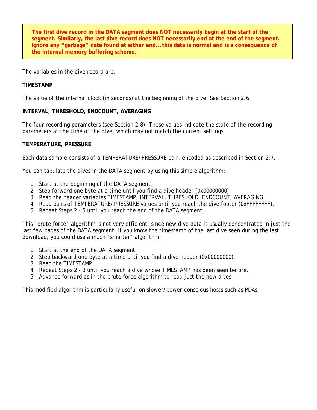**The first dive record in the DATA segment does NOT necessarily begin at the start of the segment. Similarly, the last dive record does NOT necessarily end at the end of the segment. Ignore any "garbage" data found at either end...this data is normal and is a consequence of the internal memory buffering scheme.** 

The variables in the dive record are:

#### **TIMESTAMP**

The value of the internal clock (in seconds) at the beginning of the dive. See Section 2.6.

#### **INTERVAL, THRESHOLD, ENDCOUNT, AVERAGING**

The four recording parameters (see Section 2.8). These values indicate the state of the recording parameters *at the time of the dive*, which may not match the current settings.

#### **TEMPERATURE, PRESSURE**

Each data sample consists of a TEMPERATURE/PRESSURE pair, encoded as described in Section 2.7.

You can tabulate the dives in the DATA segment by using this simple algorithm:

- 1. Start at the beginning of the DATA segment.
- 2. Step forward one byte at a time until you find a dive header (0x00000000).
- 3. Read the header variables TIMESTAMP, INTERVAL, THRESHOLD, ENDCOUNT, AVERAGING.
- 4. Read pairs of TEMPERATURE/PRESSURE values until you reach the dive footer (0xFFFFFFFF).
- 5. Repeat Steps 2 5 until you reach the end of the DATA segment.

This "brute force" algorithm is not very efficient, since new dive data is usually concentrated in just the last few pages of the DATA segment. If you know the timestamp of the last dive seen during the last download, you could use a much "smarter" algorithm:

- 1. Start at the end of the DATA segment.
- 2. Step backward one byte at a time until you find a dive header (0x00000000).
- 3. Read the TIMESTAMP.
- 4. Repeat Steps 2 3 until you reach a dive whose TIMESTAMP has been seen before.
- 5. Advance forward as in the brute force algorithm to read just the new dives.

This modified algorithm is particularly useful on slower/power-conscious hosts such as PDAs.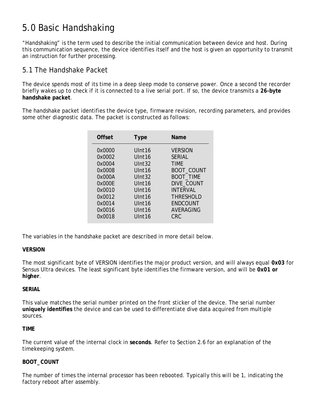## 5.0 Basic Handshaking

"Handshaking" is the term used to describe the initial communication between device and host. During this communication sequence, the device identifies itself and the host is given an opportunity to transmit an instruction for further processing.

#### 5.1 The Handshake Packet

The device spends most of its time in a deep sleep mode to conserve power. Once a second the recorder briefly wakes up to check if it is connected to a live serial port. If so, the device transmits a **26-byte handshake packet**.

The handshake packet identifies the device type, firmware revision, recording parameters, and provides some other diagnostic data. The packet is constructed as follows:

| Offset | Type               | Name              |
|--------|--------------------|-------------------|
| 0x0000 | Ulnt <sub>16</sub> | <b>VERSION</b>    |
| 0x0002 | UInt <sub>16</sub> | <b>SFRIAI</b>     |
| 0x0004 | UInt32             | <b>TIMF</b>       |
| 0x0008 | Ulnt <sub>16</sub> | <b>BOOT_COUNT</b> |
| 0x000A | Ulnt32             | <b>BOOT_TIME</b>  |
| 0x000F | Ulnt <sub>16</sub> | DIVE_COUNT        |
| 0x0010 | Ulnt <sub>16</sub> | INTFRVAL          |
| 0x0012 | Ulnt <sub>16</sub> | <b>THRESHOLD</b>  |
| 0x0014 | Ulnt <sub>16</sub> | <b>FNDCOUNT</b>   |
| 0x0016 | Ulnt <sub>16</sub> | AVERAGING         |
| 0x0018 | Ulnt16             | CRC               |
|        |                    |                   |

The variables in the handshake packet are described in more detail below.

#### **VERSION**

The most significant byte of VERSION identifies the major product version, and will always equal **0x03** for Sensus Ultra devices. The least significant byte identifies the firmware version, and will be **0x01 or higher**.

#### **SERIAL**

This value matches the serial number printed on the front sticker of the device. The serial number **uniquely identifies** the device and can be used to differentiate dive data acquired from multiple sources.

#### **TIME**

The current value of the internal clock in **seconds**. Refer to Section 2.6 for an explanation of the timekeeping system.

#### **BOOT\_COUNT**

The number of times the internal processor has been rebooted. Typically this will be 1, indicating the factory reboot after assembly.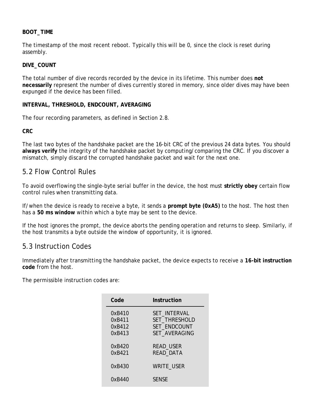#### **BOOT\_TIME**

The timestamp of the most recent reboot. Typically this will be 0, since the clock is reset during assembly.

#### **DIVE\_COUNT**

The total number of dive records recorded by the device in its lifetime. This number does **not necessarily** represent the number of dives currently stored in memory, since older dives may have been expunged if the device has been filled.

#### **INTERVAL, THRESHOLD, ENDCOUNT, AVERAGING**

The four recording parameters, as defined in Section 2.8.

**CRC** 

The last two bytes of the handshake packet are the 16-bit CRC of the previous 24 data bytes. You should **always verify** the integrity of the handshake packet by computing/comparing the CRC. If you discover a mismatch, simply discard the corrupted handshake packet and wait for the next one.

#### 5.2 Flow Control Rules

To avoid overflowing the single-byte serial buffer in the device, the host must **strictly obey** certain flow control rules when transmitting data.

If/when the device is ready to receive a byte, it sends a **prompt byte (0xA5)** to the host. The host then has a **50 ms window** within which a byte may be sent to the device.

If the host ignores the prompt, the device aborts the pending operation and returns to sleep. Similarly, if the host transmits a byte outside the window of opportunity, it is ignored.

#### 5.3 Instruction Codes

Immediately after transmitting the handshake packet, the device expects to receive a **16-bit instruction code** from the host.

The permissible instruction codes are:

| Code                                 | Instruction                                                           |
|--------------------------------------|-----------------------------------------------------------------------|
| 0xB410<br>0xB411<br>0xB412<br>0xB413 | SET INTERVAL<br>SET_THRESHOLD<br>SET ENDCOUNT<br><b>SET AVERAGING</b> |
| 0xB420<br>0xB421                     | READ_USER<br>READ_DATA                                                |
| 0xB430                               | <b>WRITE_USER</b>                                                     |
| 0xB440                               | <b>SFNSF</b>                                                          |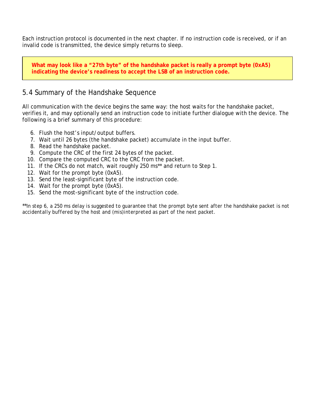Each instruction protocol is documented in the next chapter. If no instruction code is received, or if an invalid code is transmitted, the device simply returns to sleep.

**What may look like a "27th byte" of the handshake packet is really a prompt byte (0xA5) indicating the device's readiness to accept the LSB of an instruction code.** 

#### 5.4 Summary of the Handshake Sequence

All communication with the device begins the same way: the host waits for the handshake packet, verifies it, and may optionally send an instruction code to initiate further dialogue with the device. The following is a brief summary of this procedure:

- 6. Flush the host's input/output buffers.
- 7. Wait until 26 bytes (the handshake packet) accumulate in the input buffer.
- 8. Read the handshake packet.
- 9. Compute the CRC of the first 24 bytes of the packet.
- 10. Compare the computed CRC to the CRC from the packet.
- 11. If the CRCs do not match, wait roughly 250 ms\*\* and return to Step 1.
- 12. Wait for the prompt byte (0xA5).
- 13. Send the least-significant byte of the instruction code.
- 14. Wait for the prompt byte (0xA5).
- 15. Send the most-significant byte of the instruction code.

\*\**In step 6, a 250 ms delay is suggested to guarantee that the prompt byte sent after the handshake packet is not accidentally buffered by the host and (mis)interpreted as part of the next packet.*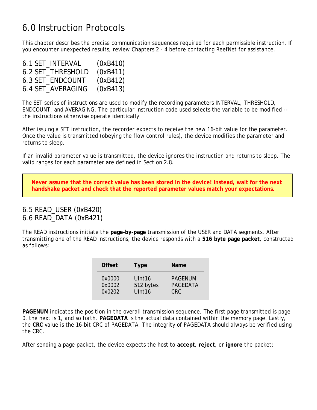## 6.0 Instruction Protocols

This chapter describes the precise communication sequences required for each permissible instruction. If you encounter unexpected results, review Chapters 2 - 4 before contacting ReefNet for assistance.

| 6.1 SET INTERVAL  | (0xB410) |
|-------------------|----------|
| 6.2 SET THRESHOLD | (0xB411) |
| 6.3 SET ENDCOUNT  | (0xB412) |
| 6.4 SET AVERAGING | (0xB413) |

The SET series of instructions are used to modify the recording parameters INTERVAL, THRESHOLD, ENDCOUNT, and AVERAGING. The particular instruction code used selects the variable to be modified - the instructions otherwise operate identically.

After issuing a SET instruction, the recorder expects to receive the new 16-bit value for the parameter. Once the value is transmitted (obeying the flow control rules), the device modifies the parameter and returns to sleep.

If an invalid parameter value is transmitted, the device ignores the instruction and returns to sleep. The valid ranges for each parameter are defined in Section 2.8.

**Never assume that the correct value has been stored in the device! Instead, wait for the next handshake packet and check that the reported parameter values match your expectations.** 

#### 6.5 READ\_USER (0xB420) 6.6 READ\_DATA (0xB421)

The READ instructions initiate the **page-by-page** transmission of the USER and DATA segments. After transmitting one of the READ instructions, the device responds with a **516 byte page packet**, constructed as follows:

| <b>Offset</b> | <b>Type</b>        | <b>Name</b>     |
|---------------|--------------------|-----------------|
| 0x0000        | Ulnt <sub>16</sub> | <b>PAGENUM</b>  |
| 0x0002        | 512 bytes          | <b>PAGEDATA</b> |
| 0x0202        | UInt16             | CRC.            |

**PAGENUM** indicates the position in the overall transmission sequence. The first page transmitted is page 0, the next is 1, and so forth. **PAGEDATA** is the actual data contained within the memory page. Lastly, the **CRC** value is the 16-bit CRC of PAGEDATA. The integrity of PAGEDATA should always be verified using the CRC.

After sending a page packet, the device expects the host to **accept**, **reject**, or **ignore** the packet: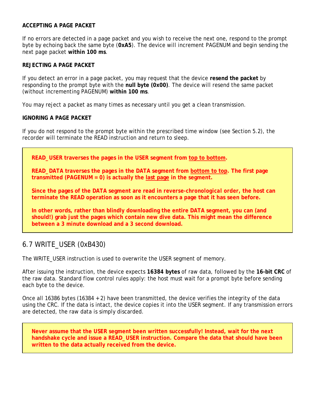#### **ACCEPTING A PAGE PACKET**

If no errors are detected in a page packet and you wish to receive the next one, respond to the prompt byte by echoing back the same byte (**0xA5**). The device will increment PAGENUM and begin sending the next page packet **within 100 ms**.

#### **REJECTING A PAGE PACKET**

If you detect an error in a page packet, you may request that the device **resend the packet** by responding to the prompt byte with the **null byte (0x00)**. The device will resend the same packet (without incrementing PAGENUM) **within 100 ms**.

You may reject a packet as many times as necessary until you get a clean transmission.

#### **IGNORING A PAGE PACKET**

If you do not respond to the prompt byte within the prescribed time window (see Section 5.2), the recorder will terminate the READ instruction and return to sleep.

**READ\_USER traverses the pages in the USER segment from top to bottom.** 

**READ\_DATA traverses the pages in the DATA segment from bottom to top. The first page transmitted (PAGENUM = 0) is actually the last page in the segment.** 

**Since the pages of the DATA segment are read in** *reverse-chronological order***, the host can terminate the READ operation as soon as it encounters a page that it has seen before.** 

**In other words, rather than blindly downloading the entire DATA segment, you can (and should!) grab just the pages which contain new dive data. This might mean the difference between a 3** *minute* **download and a 3** *second* **download.** 

#### 6.7 WRITE\_USER (0xB430)

The WRITE\_USER instruction is used to overwrite the USER segment of memory.

After issuing the instruction, the device expects **16384 bytes** of raw data, followed by the **16-bit CRC** of the raw data. Standard flow control rules apply: the host must wait for a prompt byte before sending each byte to the device.

Once all 16386 bytes (16384 + 2) have been transmitted, the device verifies the integrity of the data using the CRC. If the data is intact, the device copies it into the USER segment. If any transmission errors are detected, the raw data is simply discarded.

**Never assume that the USER segment been written successfully! Instead, wait for the next handshake cycle and issue a READ\_USER instruction. Compare the data that should have been written to the data actually received from the device.**